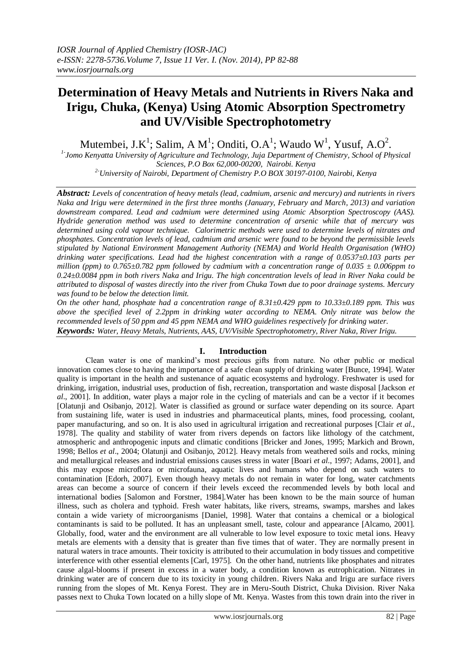# **Determination of Heavy Metals and Nutrients in Rivers Naka and Irigu, Chuka, (Kenya) Using Atomic Absorption Spectrometry and UV/Visible Spectrophotometry**

Mutembei, J.K<sup>1</sup>; Salim, A M<sup>1</sup>; Onditi, O.A<sup>1</sup>; Waudo W<sup>1</sup>, Yusuf, A.O<sup>2</sup>.

*1- Jomo Kenyatta University of Agriculture and Technology, Juja Department of Chemistry, School of Physical Sciences, P.O Box 62,000-00200, Nairobi. Kenya*

*2-University of Nairobi, Department of Chemistry P.O BOX 30197-0100, Nairobi, Kenya*

*Abstract: Levels of concentration of heavy metals (lead, cadmium, arsenic and mercury) and nutrients in rivers Naka and Irigu were determined in the first three months (January, February and March, 2013) and variation downstream compared. Lead and cadmium were determined using Atomic Absorption Spectroscopy (AAS). Hydride generation method was used to determine concentration of arsenic while that of mercury was determined using cold vapour technique. Calorimetric methods were used to determine levels of nitrates and phosphates. Concentration levels of lead, cadmium and arsenic were found to be beyond the permissible levels stipulated by National Environment Management Authority (NEMA) and World Health Organisation (WHO) drinking water specifications. Lead had the highest concentration with a range of 0.0537±0.103 parts per million (ppm) to 0.765±0.782 ppm followed by cadmium with a concentration range of 0.035 ± 0.006ppm to 0.24±0.0084 ppm in both rivers Naka and Irigu. The high concentration levels of lead in River Naka could be attributed to disposal of wastes directly into the river from Chuka Town due to poor drainage systems. Mercury was found to be below the detection limit.* 

*On the other hand, phosphate had a concentration range of 8.31±0.429 ppm to 10.33±0.189 ppm. This was above the specified level of 2.2ppm in drinking water according to NEMA. Only nitrate was below the recommended levels of 50 ppm and 45 ppm NEMA and WHO guidelines respectively for drinking water. Keywords: Water, Heavy Metals, Nutrients, AAS, UV/Visible Spectrophotometry, River Naka, River Irigu.*

# **I. Introduction**

Clean water is one of mankind's most precious gifts from nature. No other public or medical innovation comes close to having the importance of a safe clean supply of drinking water [Bunce, 1994]. Water quality is important in the health and sustenance of aquatic ecosystems and hydrology. Freshwater is used for drinking, irrigation, industrial uses, production of fish, recreation, transportation and waste disposal [Jackson *et al*., 2001]. In addition, water plays a major role in the cycling of materials and can be a vector if it becomes [Olatunji and Osibanjo, 2012]. Water is classified as ground or surface water depending on its source. Apart from sustaining life, water is used in industries and pharmaceutical plants, mines, food processing, coolant, paper manufacturing, and so on. It is also used in agricultural irrigation and recreational purposes [Clair *et al.*, 1978]. The quality and stability of water from rivers depends on factors like lithology of the catchment, atmospheric and anthropogenic inputs and climatic conditions [Bricker and Jones, 1995; Markich and Brown, 1998; Bellos *et al*., 2004; Olatunji and Osibanjo, 2012]. Heavy metals from weathered soils and rocks, mining and metallurgical releases and industrial emissions causes stress in water [Boari *et al*., 1997; Adams, 2001], and this may expose microflora or microfauna, aquatic lives and humans who depend on such waters to contamination [Edorh, 2007]. Even though heavy metals do not remain in water for long, water catchments areas can become a source of concern if their levels exceed the recommended levels by both local and international bodies [Salomon and Forstner, 1984].Water has been known to be the main source of human illness, such as cholera and typhoid. Fresh water habitats, like rivers, streams, swamps, marshes and lakes contain a wide variety of microorganisms [Daniel, 1998]. Water that contains a chemical or a biological contaminants is said to be polluted. It has an unpleasant smell, taste, colour and appearance [Alcamo, 2001]. Globally, food, water and the environment are all vulnerable to low level exposure to toxic metal ions. Heavy metals are elements with a density that is greater than five times that of water. They are normally present in natural waters in trace amounts. Their toxicity is attributed to their accumulation in body tissues and competitive interference with other essential elements [Carl, 1975]. On the other hand, nutrients like phosphates and nitrates cause algal-blooms if present in excess in a water body, a condition known as eutrophication. Nitrates in drinking water are of concern due to its toxicity in young children. Rivers Naka and Irigu are surface rivers running from the slopes of Mt. Kenya Forest. They are in Meru-South District, Chuka Division. River Naka passes next to Chuka Town located on a hilly slope of Mt. Kenya. Wastes from this town drain into the river in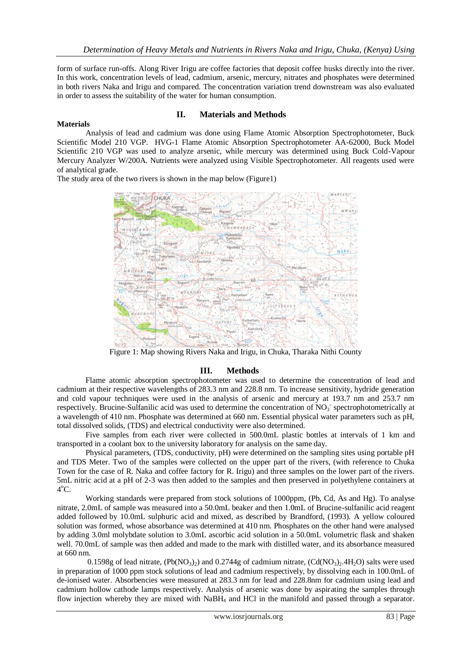form of surface run-offs. Along River Irigu are coffee factories that deposit coffee husks directly into the river. In this work, concentration levels of lead, cadmium, arsenic, mercury, nitrates and phosphates were determined in both rivers Naka and Irigu and compared. The concentration variation trend downstream was also evaluated in order to assess the suitability of the water for human consumption.

# **II. Materials and Methods**

## **Materials**

Analysis of lead and cadmium was done using Flame Atomic Absorption Spectrophotometer, Buck Scientific Model 210 VGP. HVG-1 Flame Atomic Absorption Spectrophotometer AA-62000, Buck Model Scientific 210 VGP was used to analyze arsenic, while mercury was determined using Buck Cold-Vapour Mercury Analyzer W/200A. Nutrients were analyzed using Visible Spectrophotometer. All reagents used were of analytical grade.

The study area of the two rivers is shown in the map below (Figure1)



Figure 1: Map showing Rivers Naka and Irigu, in Chuka, Tharaka Nithi County

# **III. Methods**

Flame atomic absorption spectrophotometer was used to determine the concentration of lead and cadmium at their respective wavelengths of 283.3 nm and 228.8 nm. To increase sensitivity, hydride generation and cold vapour techniques were used in the analysis of arsenic and mercury at 193.7 nm and 253.7 nm respectively. Brucine-Sulfanilic acid was used to determine the concentration of NO<sub>3</sub> spectrophotometrically at a wavelength of 410 nm. Phosphate was determined at 660 nm. Essential physical water parameters such as pH, total dissolved solids, (TDS) and electrical conductivity were also determined.

Five samples from each river were collected in 500.0mL plastic bottles at intervals of 1 km and transported in a coolant box to the university laboratory for analysis on the same day.

Physical parameters, (TDS, conductivity, pH) were determined on the sampling sites using portable pH and TDS Meter. Two of the samples were collected on the upper part of the rivers, (with reference to Chuka Town for the case of R. Naka and coffee factory for R. Irigu) and three samples on the lower part of the rivers. 5mL nitric acid at a pH of 2-3 was then added to the samples and then preserved in polyethylene containers at  $4^{\circ}$ C.

Working standards were prepared from stock solutions of 1000ppm, (Pb, Cd, As and Hg). To analyse nitrate, 2.0mL of sample was measured into a 50.0mL beaker and then 1.0mL of Brucine-sulfanilic acid reagent added followed by 10.0mL sulphuric acid and mixed, as described by Brandford, (1993). A yellow coloured solution was formed, whose absorbance was determined at 410 nm. Phosphates on the other hand were analysed by adding 3.0ml molybdate solution to 3.0mL ascorbic acid solution in a 50.0mL volumetric flask and shaken well. 70.0mL of sample was then added and made to the mark with distilled water, and its absorbance measured at 660 nm.

0.1598g of lead nitrate,  $(Pb(NO_3)_2)$  and 0.2744g of cadmium nitrate,  $(Cd(NO_3)_2.4H_2O)$  salts were used in preparation of 1000 ppm stock solutions of lead and cadmium respectively, by dissolving each in 100.0mL of de-ionised water. Absorbencies were measured at 283.3 nm for lead and 228.8nm for cadmium using lead and cadmium hollow cathode lamps respectively. Analysis of arsenic was done by aspirating the samples through flow injection whereby they are mixed with NaBH<sup>4</sup> and HCl in the manifold and passed through a separator.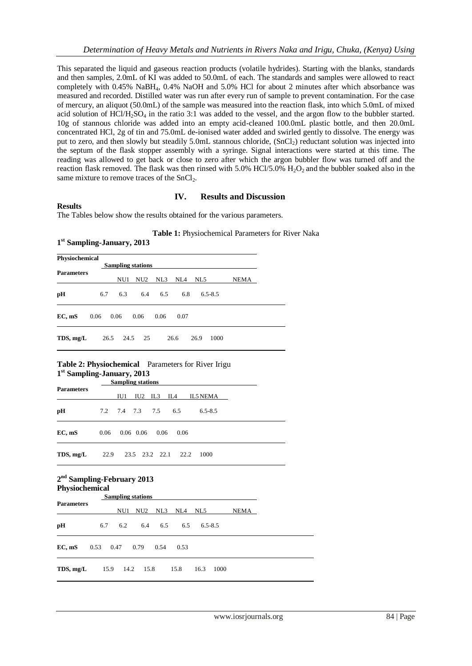This separated the liquid and gaseous reaction products (volatile hydrides). Starting with the blanks, standards and then samples, 2.0mL of KI was added to 50.0mL of each. The standards and samples were allowed to react completely with 0.45% NaBH4, 0.4% NaOH and 5.0% HCl for about 2 minutes after which absorbance was measured and recorded. Distilled water was run after every run of sample to prevent contamination. For the case of mercury, an aliquot (50.0mL) of the sample was measured into the reaction flask, into which 5.0mL of mixed acid solution of  $HCI/H_2SO_4$  in the ratio 3:1 was added to the vessel, and the argon flow to the bubbler started. 10g of stannous chloride was added into an empty acid-cleaned 100.0mL plastic bottle, and then 20.0mL concentrated HCl, 2g of tin and 75.0mL de-ionised water added and swirled gently to dissolve. The energy was put to zero, and then slowly but steadily 5.0mL stannous chloride, (SnCl2) reductant solution was injected into the septum of the flask stopper assembly with a syringe. Signal interactions were started at this time. The reading was allowed to get back or close to zero after which the argon bubbler flow was turned off and the reaction flask removed. The flask was then rinsed with  $5.0\%$  HCl/ $5.0\%$  H<sub>2</sub>O<sub>2</sub> and the bubbler soaked also in the same mixture to remove traces of the  $SnCl<sub>2</sub>$ .

### **IV. Results and Discussion**

#### **Results**

The Tables below show the results obtained for the various parameters.

**Table 1:** Physiochemical Parameters for River Naka

# **1 st Sampling-January, 2013 Physiochemical Sampling stations Parameters**  NU1 NU2 NL3 NL4 NL5 NEMA **pH** 6.7 6.3 6.4 6.5 6.8 6.5-8.5 **EC, mS** 0.06 0.06 0.06 0.06 0.07 **TDS, mg/L** 26.5 24.5 25 26.6 26.9 1000

# **Table 2: Physiochemical** Parameters for River Irigu **1 st Sampling-January, 2013**

| <b>Parameters</b> | <b>Sampling stations</b> |     |                 |                   |                          |             |  |
|-------------------|--------------------------|-----|-----------------|-------------------|--------------------------|-------------|--|
|                   |                          | IU1 |                 | $IU2$ $IL3$ $IL4$ |                          | IL5 NEMA    |  |
| pH                |                          |     | 7.2 7.4 7.3 7.5 |                   | 6.5                      | $6.5 - 8.5$ |  |
| EC, mS            | 0.06                     |     | $0.06$ 0.06     | 0.06              | 0.06                     |             |  |
| TDS, mg/L         |                          |     |                 |                   | 22.9 23.5 23.2 22.1 22.2 | 1000        |  |

#### **2 nd Sampling-February 2013 Physiochemical**

|                                       |         | <b>Sampling stations</b> |     |             |         |         |
|---------------------------------------|---------|--------------------------|-----|-------------|---------|---------|
| <b>Parameters</b>                     | NU1     | NU2                      | NL3 | NL4 NL5     |         | NEMA    |
| pН                                    | 6.7 6.2 |                          |     | 6.4 6.5 6.5 | 6.5-8.5 |         |
| EC, mS $0.53$ $0.47$ $0.79$ $0.54$    |         |                          |     | 0.53        |         |         |
| <b>TDS, mg/L</b> $15.9$ $14.2$ $15.8$ |         |                          |     | 15.8        | 16.3    | -- 1000 |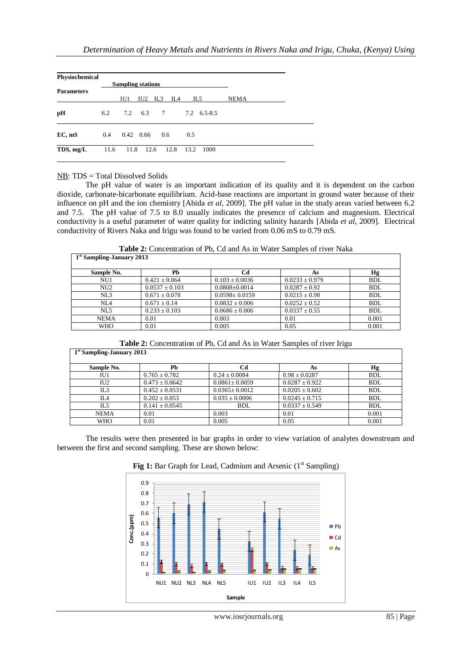| Physiochemical    |      | <b>Sampling stations</b> |                   |     |      |      |             |             |  |
|-------------------|------|--------------------------|-------------------|-----|------|------|-------------|-------------|--|
| <b>Parameters</b> |      | IU1                      | IU <sub>2</sub>   | IL3 | IL4  | IL5  |             | <b>NEMA</b> |  |
| pH                | 6.2  |                          | 7.2 6.3 7         |     |      |      | 7.2 6.5-8.5 |             |  |
| EC, mS            | 0.4  |                          | $0.42 \quad 0.66$ | 0.6 |      | 0.5  |             |             |  |
| TDS, mg/L         | 11.6 | 11.8                     | 12.6              |     | 12.8 | 13.2 | 1000        |             |  |

# NB: TDS = Total Dissolved Solids

The pH value of water is an important indication of its quality and it is dependent on the carbon dioxide, carbonate-bicarbonate equilibrium. Acid-base reactions are important in ground water because of their influence on pH and the ion chemistry [Abida *et al*, 2009]. The pH value in the study areas varied between 6.2 and 7.5. The pH value of 7.5 to 8.0 usually indicates the presence of calcium and magnesium. Electrical conductivity is a useful parameter of water quality for indicting salinity hazards [Abida *et al*, 2009]. Electrical conductivity of Rivers Naka and Irigu was found to be varied from 0.06 mS to 0.79 mS.

**Table 2:** Concentration of Pb, Cd and As in Water Samples of river Naka

| 1 <sup>st</sup> Sampling-January 2013 |                    |                     |                    |            |  |  |  |  |
|---------------------------------------|--------------------|---------------------|--------------------|------------|--|--|--|--|
| Sample No.                            | Pb                 | Cd                  | As                 | Нg         |  |  |  |  |
| NU1                                   | $0.421 \pm 0.064$  | $0.103 \pm 0.0036$  | $0.0233 \pm 0.979$ | <b>BDL</b> |  |  |  |  |
| NU <sub>2</sub>                       | $0.0537 \pm 0.103$ | $0.0808 \pm 0.0014$ | $0.0287 \pm 0.92$  | <b>BDL</b> |  |  |  |  |
| NL3                                   | $0.671 \pm 0.078$  | $0.0598 \pm 0.0159$ | $0.0215 \pm 0.98$  | <b>BDL</b> |  |  |  |  |
| NIA                                   | $0.671 \pm 0.14$   | $0.0832 \pm 0.006$  | $0.0252 \pm 0.52$  | <b>BDL</b> |  |  |  |  |
| NL5                                   | $0.233 \pm 0.103$  | $0.0686 \pm 0.006$  | $0.0337 \pm 0.55$  | <b>BDL</b> |  |  |  |  |
| <b>NEMA</b>                           | 0.01               | 0.003               | 0.01               | 0.001      |  |  |  |  |
| WHO                                   | 0.01               | 0.005               | 0.05               | 0.001      |  |  |  |  |

Table 2: Concentration of Pb, Cd and As in Water Samples of river Irigu

| 1 <sup>st</sup> Sampling-January 2013 |                    |                     |                    |            |  |  |  |  |
|---------------------------------------|--------------------|---------------------|--------------------|------------|--|--|--|--|
| Sample No.                            | Ph                 | Сd                  | As                 | Hg         |  |  |  |  |
| IU1                                   | $0.765 \pm 0.782$  | $0.24 \pm 0.0084$   | $0.98 \pm 0.0287$  | <b>BDL</b> |  |  |  |  |
| IU <sub>2</sub>                       | $0.473 \pm 0.0642$ | $0.0861 \pm 0.0059$ | $0.0287 \pm 0.922$ | <b>BDL</b> |  |  |  |  |
| IL3                                   | $0.452 \pm 0.0531$ | $0.0365 \pm 0.0012$ | $0.0205 \pm 0.602$ | <b>BDL</b> |  |  |  |  |
| IL4                                   | $0.202 \pm 0.053$  | $0.035 \pm 0.0006$  | $0.0245 \pm 0.715$ | <b>BDL</b> |  |  |  |  |
| IL5                                   | $0.141 \pm 0.0545$ | BDL                 | $0.0337 \pm 0.549$ | <b>BDL</b> |  |  |  |  |
| <b>NEMA</b>                           | 0.01               | 0.003               | 0.01               | 0.001      |  |  |  |  |
| WHO                                   | 0.01               | 0.005               | 0.05               | 0.001      |  |  |  |  |

The results were then presented in bar graphs in order to view variation of analytes downstream and between the first and second sampling. These are shown below:



**Fig 1:** Bar Graph for Lead, Cadmium and Arsenic (1<sup>st</sup> Sampling)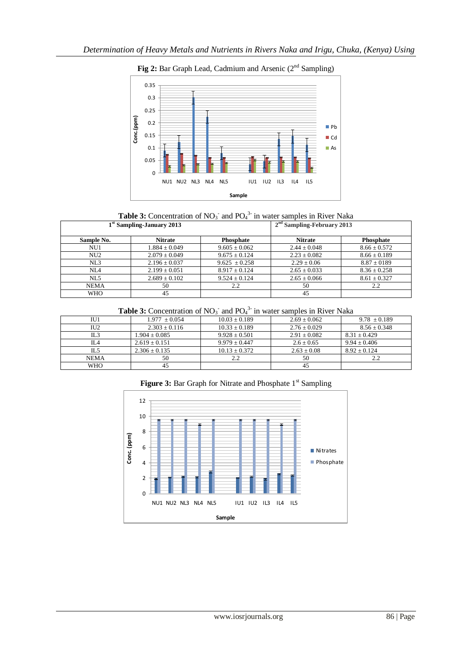

**Fig 2:** Bar Graph Lead, Cadmium and Arsenic (2<sup>nd</sup> Sampling)



|                 | 1 <sup>st</sup> Sampling-January 2013 | $2nd$ Sampling-February 2013 |                  |                  |
|-----------------|---------------------------------------|------------------------------|------------------|------------------|
| Sample No.      | <b>Nitrate</b>                        | <b>Phosphate</b>             | <b>Nitrate</b>   | Phosphate        |
| NU1             | $1.884 \pm 0.049$                     | $9.605 \pm 0.062$            | $2.44 + 0.048$   | $8.66 \pm 0.572$ |
| NU <sub>2</sub> | $2.079 \pm 0.049$                     | $9.675 \pm 0.124$            | $2.23 \pm 0.082$ | $8.66 \pm 0.189$ |
| NL3             | $2.196 \pm 0.037$                     | $9.625 \pm 0.258$            | $2.29 \pm 0.06$  | $8.87 \pm 0189$  |
| NL4             | $2.199 + 0.051$                       | $8.917 \pm 0.124$            | $2.65 \pm 0.033$ | $8.36 \pm 0.258$ |
| NI.5            | $2.689 \pm 0.102$                     | $9.524 + 0.124$              | $2.65 + 0.066$   | $8.61 \pm 0.327$ |
| <b>NEMA</b>     | 50                                    | 2.2                          | 50               | 2.2              |
| <b>WHO</b>      | 45                                    |                              | 45               |                  |

**Table 3:** Concentration of  $NO_3$ <sup>-</sup> and  $PO_4$ <sup>3-</sup> in water samples in River Naka

| IU1         | $1.977 \pm 0.054$ | $10.03 + 0.189$   | $2.69 + 0.062$ | $9.78 \pm 0.189$ |
|-------------|-------------------|-------------------|----------------|------------------|
| IU2         | $2.303 + 0.116$   | $10.33 + 0.189$   | $2.76 + 0.029$ | $8.56 \pm 0.348$ |
| IL3         | $1.904 + 0.085$   | $9.928 \pm 0.501$ | $2.91 + 0.082$ | $8.31 \pm 0.429$ |
| II A        | $2.619 + 0.151$   | $9.979 + 0.447$   | $2.6 \pm 0.65$ | $9.94 + 0.406$   |
| IL5         | $2.306 + 0.135$   | $10.13 + 0.372$   | $2.63 + 0.08$  | $8.92 + 0.124$   |
| <b>NEMA</b> | 50                | 2.2               | 50             | っっ               |
| <b>WHO</b>  | 45                |                   | 45             |                  |



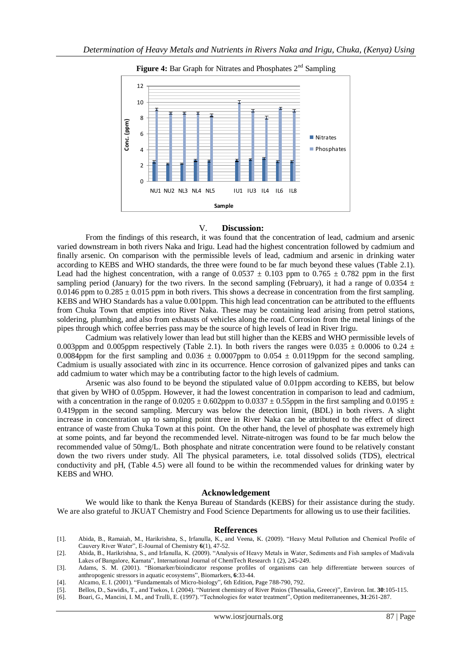

#### V. **Discussion:**

From the findings of this research, it was found that the concentration of lead, cadmium and arsenic varied downstream in both rivers Naka and Irigu. Lead had the highest concentration followed by cadmium and finally arsenic. On comparison with the permissible levels of lead, cadmium and arsenic in drinking water according to KEBS and WHO standards, the three were found to be far much beyond these values (Table 2.1). Lead had the highest concentration, with a range of 0.0537  $\pm$  0.103 ppm to 0.765  $\pm$  0.782 ppm in the first sampling period (January) for the two rivers. In the second sampling (February), it had a range of 0.0354  $\pm$ 0.0146 ppm to  $0.285 \pm 0.015$  ppm in both rivers. This shows a decrease in concentration from the first sampling. KEBS and WHO Standards has a value 0.001ppm. This high lead concentration can be attributed to the effluents from Chuka Town that empties into River Naka. These may be containing lead arising from petrol stations, soldering, plumbing, and also from exhausts of vehicles along the road. Corrosion from the metal linings of the pipes through which coffee berries pass may be the source of high levels of lead in River Irigu.

Cadmium was relatively lower than lead but still higher than the KEBS and WHO permissible levels of 0.003ppm and 0.005ppm respectively (Table 2.1). In both rivers the ranges were 0.035  $\pm$  0.0006 to 0.24  $\pm$ 0.0084ppm for the first sampling and  $0.036 \pm 0.0007$ ppm to  $0.054 \pm 0.0119$ ppm for the second sampling. Cadmium is usually associated with zinc in its occurrence. Hence corrosion of galvanized pipes and tanks can add cadmium to water which may be a contributing factor to the high levels of cadmium.

Arsenic was also found to be beyond the stipulated value of 0.01ppm according to KEBS, but below that given by WHO of 0.05ppm. However, it had the lowest concentration in comparison to lead and cadmium, with a concentration in the range of  $0.0205 \pm 0.602$ ppm to  $0.0337 \pm 0.55$ ppm in the first sampling and  $0.0195 \pm 0.0195$ 0.419ppm in the second sampling. Mercury was below the detection limit, (BDL) in both rivers. A slight increase in concentration up to sampling point three in River Naka can be attributed to the effect of direct entrance of waste from Chuka Town at this point. On the other hand, the level of phosphate was extremely high at some points, and far beyond the recommended level. Nitrate-nitrogen was found to be far much below the recommended value of 50mg/L. Both phosphate and nitrate concentration were found to be relatively constant down the two rivers under study. All The physical parameters, i.e. total dissolved solids (TDS), electrical conductivity and pH, (Table 4.5) were all found to be within the recommended values for drinking water by KEBS and WHO.

#### **Acknowledgement**

We would like to thank the Kenya Bureau of Standards (KEBS) for their assistance during the study. We are also grateful to JKUAT Chemistry and Food Science Departments for allowing us to use their facilities.

#### **Refferences**

- [1]. Abida, B., Ramaiah, M., Harikrishna, S., Irfanulla, K., and Veena, K. (2009). "Heavy Metal Pollution and Chemical Profile of Cauvery River Water", E-Journal of Chemistry **6**(1), 47-52.
- [2]. Abida, B., Harikrishna, S., and Irfanulla, K. (2009). "Analysis of Heavy Metals in Water, Sediments and Fish samples of Madivala Lakes of Bangalore, Karnata", International Journal of ChemTech Research 1 (2), 245-249.
- [3]. Adams, S. M. (2001). "Biomarker/bioindicator response profiles of organisms can help differentiate between sources of anthropogenic stressors in aquatic ecosystems", Biomarkers, **6**:33-44.
- [4]. Alcamo, E. I. (2001). "Fundamentals of Micro-biology", 6th Edition, Page 788-790, 792.
- [5]. Bellos, D., Sawidis, T., and Tsekos, I. (2004). "Nutrient chemistry of River Pinios (Thessalia, Greece)", Environ. Int. **30**:105-115.
- [6]. Boari, G., Mancini, I. M., and Trulli, E. (1997). "Technologies for water treatment", Option mediterraneennes, **31**:261-287.